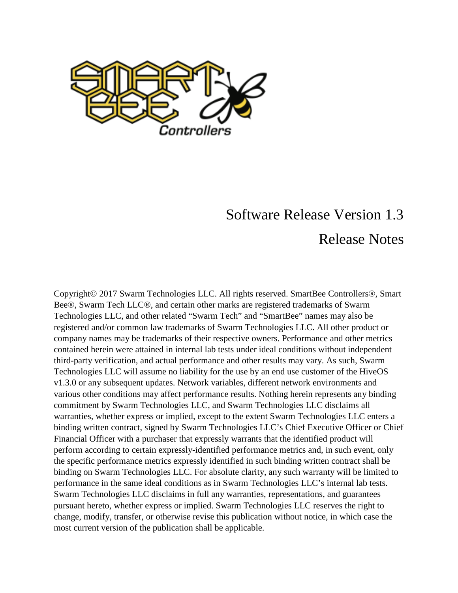

## Software Release Version 1.3 Release Notes

Copyright© 2017 Swarm Technologies LLC. All rights reserved. SmartBee Controllers®, Smart Bee®, Swarm Tech LLC®, and certain other marks are registered trademarks of Swarm Technologies LLC, and other related "Swarm Tech" and "SmartBee" names may also be registered and/or common law trademarks of Swarm Technologies LLC. All other product or company names may be trademarks of their respective owners. Performance and other metrics contained herein were attained in internal lab tests under ideal conditions without independent third-party verification, and actual performance and other results may vary. As such, Swarm Technologies LLC will assume no liability for the use by an end use customer of the HiveOS v1.3.0 or any subsequent updates. Network variables, different network environments and various other conditions may affect performance results. Nothing herein represents any binding commitment by Swarm Technologies LLC, and Swarm Technologies LLC disclaims all warranties, whether express or implied, except to the extent Swarm Technologies LLC enters a binding written contract, signed by Swarm Technologies LLC's Chief Executive Officer or Chief Financial Officer with a purchaser that expressly warrants that the identified product will perform according to certain expressly-identified performance metrics and, in such event, only the specific performance metrics expressly identified in such binding written contract shall be binding on Swarm Technologies LLC. For absolute clarity, any such warranty will be limited to performance in the same ideal conditions as in Swarm Technologies LLC's internal lab tests. Swarm Technologies LLC disclaims in full any warranties, representations, and guarantees pursuant hereto, whether express or implied. Swarm Technologies LLC reserves the right to change, modify, transfer, or otherwise revise this publication without notice, in which case the most current version of the publication shall be applicable.